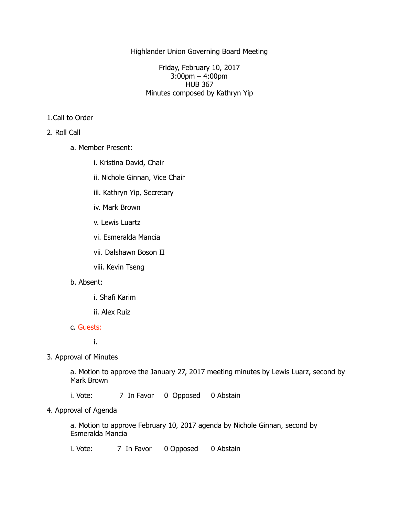Highlander Union Governing Board Meeting

Friday, February 10, 2017 3:00pm – 4:00pm HUB 367 Minutes composed by Kathryn Yip

# 1.Call to Order

## 2. Roll Call

- a. Member Present:
	- i. Kristina David, Chair
	- ii. Nichole Ginnan, Vice Chair
	- iii. Kathryn Yip, Secretary
	- iv. Mark Brown
	- v. Lewis Luartz
	- vi. Esmeralda Mancia
	- vii. Dalshawn Boson II
	- viii. Kevin Tseng

## b. Absent:

- i. Shafi Karim
- ii. Alex Ruiz

### c. Guests:

i.

3. Approval of Minutes

 a. Motion to approve the January 27, 2017 meeting minutes by Lewis Luarz, second by Mark Brown

i. Vote: 7 In Favor 0 Opposed 0 Abstain

4. Approval of Agenda

 a. Motion to approve February 10, 2017 agenda by Nichole Ginnan, second by Esmeralda Mancia

i. Vote: 7 In Favor 0 Opposed 0 Abstain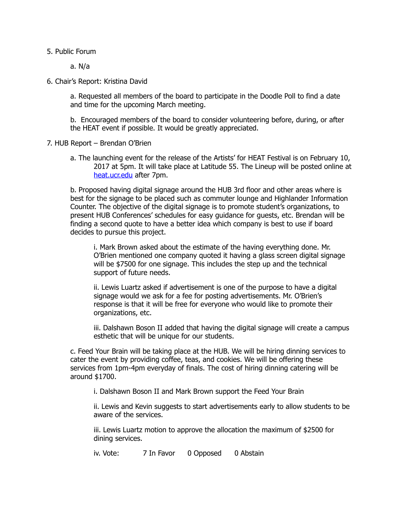5. Public Forum

a. N/a

6. Chair's Report: Kristina David

 a. Requested all members of the board to participate in the Doodle Poll to find a date and time for the upcoming March meeting.

 b. Encouraged members of the board to consider volunteering before, during, or after the HEAT event if possible. It would be greatly appreciated.

- 7. HUB Report Brendan O'Brien
	- a. The launching event for the release of the Artists' for HEAT Festival is on February 10, 2017 at 5pm. It will take place at Latitude 55. The Lineup will be posted online at [heat.ucr.edu](http://heat.ucr.edu) after 7pm.

 b. Proposed having digital signage around the HUB 3rd floor and other areas where is best for the signage to be placed such as commuter lounge and Highlander Information Counter. The objective of the digital signage is to promote student's organizations, to present HUB Conferences' schedules for easy guidance for guests, etc. Brendan will be finding a second quote to have a better idea which company is best to use if board decides to pursue this project.

 i. Mark Brown asked about the estimate of the having everything done. Mr. O'Brien mentioned one company quoted it having a glass screen digital signage will be \$7500 for one signage. This includes the step up and the technical support of future needs.

 ii. Lewis Luartz asked if advertisement is one of the purpose to have a digital signage would we ask for a fee for posting advertisements. Mr. O'Brien's response is that it will be free for everyone who would like to promote their organizations, etc.

 iii. Dalshawn Boson II added that having the digital signage will create a campus esthetic that will be unique for our students.

 c. Feed Your Brain will be taking place at the HUB. We will be hiring dinning services to cater the event by providing coffee, teas, and cookies. We will be offering these services from 1pm-4pm everyday of finals. The cost of hiring dinning catering will be around \$1700.

i. Dalshawn Boson II and Mark Brown support the Feed Your Brain

 ii. Lewis and Kevin suggests to start advertisements early to allow students to be aware of the services.

 iii. Lewis Luartz motion to approve the allocation the maximum of \$2500 for dining services.

iv. Vote: 7 In Favor 0 Opposed 0 Abstain